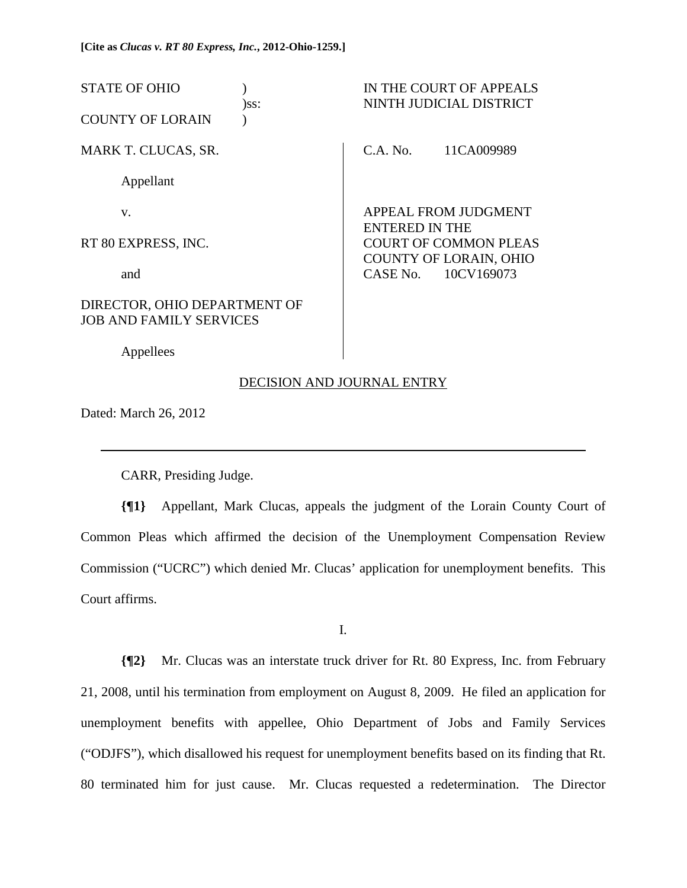STATE OF OHIO ) IN THE COURT OF APPEALS )ss: NINTH JUDICIAL DISTRICT COUNTY OF LORAIN ) MARK T. CLUCAS, SR. Appellant v. RT 80 EXPRESS, INC. and DIRECTOR, OHIO DEPARTMENT OF JOB AND FAMILY SERVICES C.A. No. 11CA009989 APPEAL FROM JUDGMENT ENTERED IN THE COURT OF COMMON PLEAS COUNTY OF LORAIN, OHIO CASE No. 10CV169073

# DECISION AND JOURNAL ENTRY

Dated: March 26, 2012

 $\overline{a}$ 

Appellees

CARR, Presiding Judge.

**{¶1}** Appellant, Mark Clucas, appeals the judgment of the Lorain County Court of Common Pleas which affirmed the decision of the Unemployment Compensation Review Commission ("UCRC") which denied Mr. Clucas' application for unemployment benefits. This Court affirms.

I.

**{¶2}** Mr. Clucas was an interstate truck driver for Rt. 80 Express, Inc. from February 21, 2008, until his termination from employment on August 8, 2009. He filed an application for unemployment benefits with appellee, Ohio Department of Jobs and Family Services ("ODJFS"), which disallowed his request for unemployment benefits based on its finding that Rt. 80 terminated him for just cause. Mr. Clucas requested a redetermination. The Director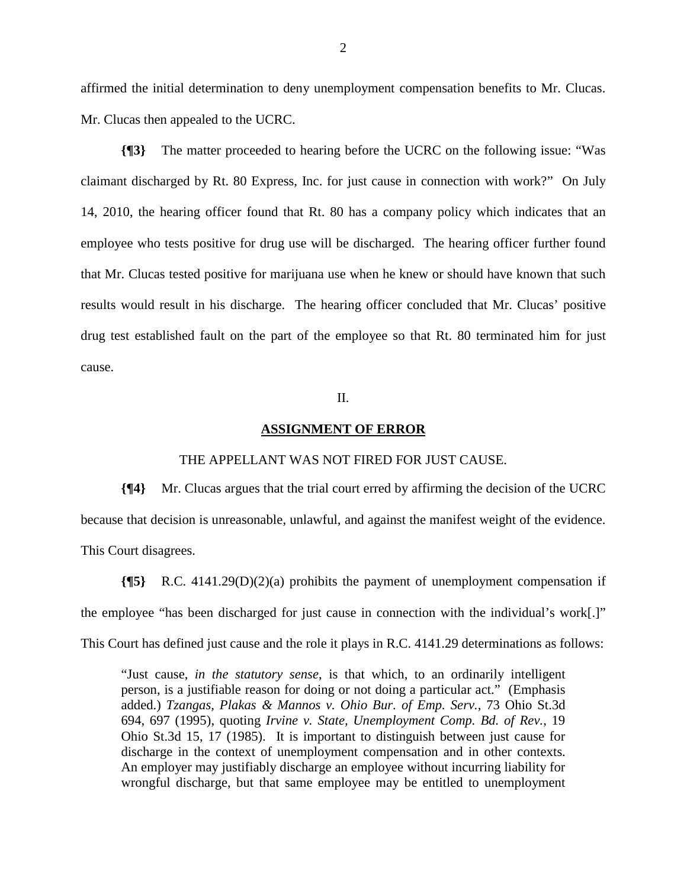affirmed the initial determination to deny unemployment compensation benefits to Mr. Clucas. Mr. Clucas then appealed to the UCRC.

**{¶3}** The matter proceeded to hearing before the UCRC on the following issue: "Was claimant discharged by Rt. 80 Express, Inc. for just cause in connection with work?" On July 14, 2010, the hearing officer found that Rt. 80 has a company policy which indicates that an employee who tests positive for drug use will be discharged. The hearing officer further found that Mr. Clucas tested positive for marijuana use when he knew or should have known that such results would result in his discharge. The hearing officer concluded that Mr. Clucas' positive drug test established fault on the part of the employee so that Rt. 80 terminated him for just cause.

## II.

### **ASSIGNMENT OF ERROR**

#### THE APPELLANT WAS NOT FIRED FOR JUST CAUSE.

**{¶4}** Mr. Clucas argues that the trial court erred by affirming the decision of the UCRC because that decision is unreasonable, unlawful, and against the manifest weight of the evidence. This Court disagrees.

**{¶5}** R.C. 4141.29(D)(2)(a) prohibits the payment of unemployment compensation if the employee "has been discharged for just cause in connection with the individual's work[.]" This Court has defined just cause and the role it plays in R.C. 4141.29 determinations as follows:

"Just cause, *in the statutory sense*, is that which, to an ordinarily intelligent person, is a justifiable reason for doing or not doing a particular act." (Emphasis added.) *Tzangas, Plakas & Mannos v. Ohio Bur. of Emp. Serv.*, 73 Ohio St.3d 694, 697 (1995), quoting *Irvine v. State, Unemployment Comp. Bd. of Rev.*, 19 Ohio St.3d 15, 17 (1985). It is important to distinguish between just cause for discharge in the context of unemployment compensation and in other contexts. An employer may justifiably discharge an employee without incurring liability for wrongful discharge, but that same employee may be entitled to unemployment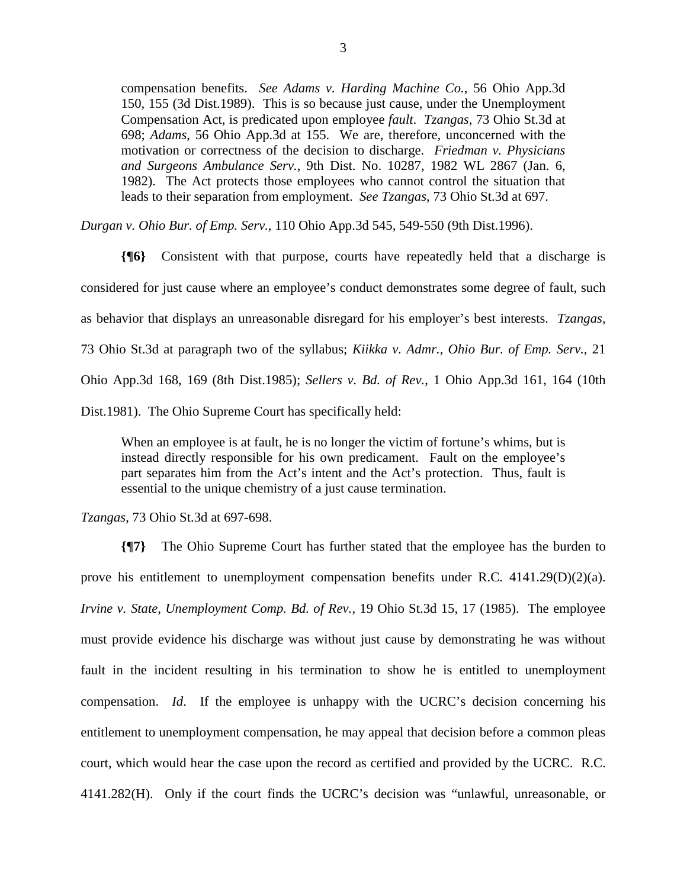compensation benefits. *See Adams v. Harding Machine Co.*, 56 Ohio App.3d 150, 155 (3d Dist.1989). This is so because just cause, under the Unemployment Compensation Act, is predicated upon employee *fault*. *Tzangas*, 73 Ohio St.3d at 698; *Adams*, 56 Ohio App.3d at 155. We are, therefore, unconcerned with the motivation or correctness of the decision to discharge. *Friedman v. Physicians and Surgeons Ambulance Serv.*, 9th Dist. No. 10287, 1982 WL 2867 (Jan. 6, 1982). The Act protects those employees who cannot control the situation that leads to their separation from employment. *See Tzangas*, 73 Ohio St.3d at 697.

*Durgan v. Ohio Bur. of Emp. Serv.*, 110 Ohio App.3d 545, 549-550 (9th Dist.1996).

**{¶6}** Consistent with that purpose, courts have repeatedly held that a discharge is considered for just cause where an employee's conduct demonstrates some degree of fault, such as behavior that displays an unreasonable disregard for his employer's best interests. *Tzangas*, 73 Ohio St.3d at paragraph two of the syllabus; *Kiikka v. Admr., Ohio Bur. of Emp. Serv.*, 21 Ohio App.3d 168, 169 (8th Dist.1985); *Sellers v. Bd. of Rev.*, 1 Ohio App.3d 161, 164 (10th Dist.1981). The Ohio Supreme Court has specifically held:

When an employee is at fault, he is no longer the victim of fortune's whims, but is instead directly responsible for his own predicament. Fault on the employee's part separates him from the Act's intent and the Act's protection. Thus, fault is essential to the unique chemistry of a just cause termination.

*Tzangas*, 73 Ohio St.3d at 697-698.

**{¶7}** The Ohio Supreme Court has further stated that the employee has the burden to prove his entitlement to unemployment compensation benefits under R.C. 4141.29(D)(2)(a). *Irvine v. State, Unemployment Comp. Bd. of Rev.*, 19 Ohio St.3d 15, 17 (1985). The employee must provide evidence his discharge was without just cause by demonstrating he was without fault in the incident resulting in his termination to show he is entitled to unemployment compensation. *Id*. If the employee is unhappy with the UCRC's decision concerning his entitlement to unemployment compensation, he may appeal that decision before a common pleas court, which would hear the case upon the record as certified and provided by the UCRC. R.C. 4141.282(H). Only if the court finds the UCRC's decision was "unlawful, unreasonable, or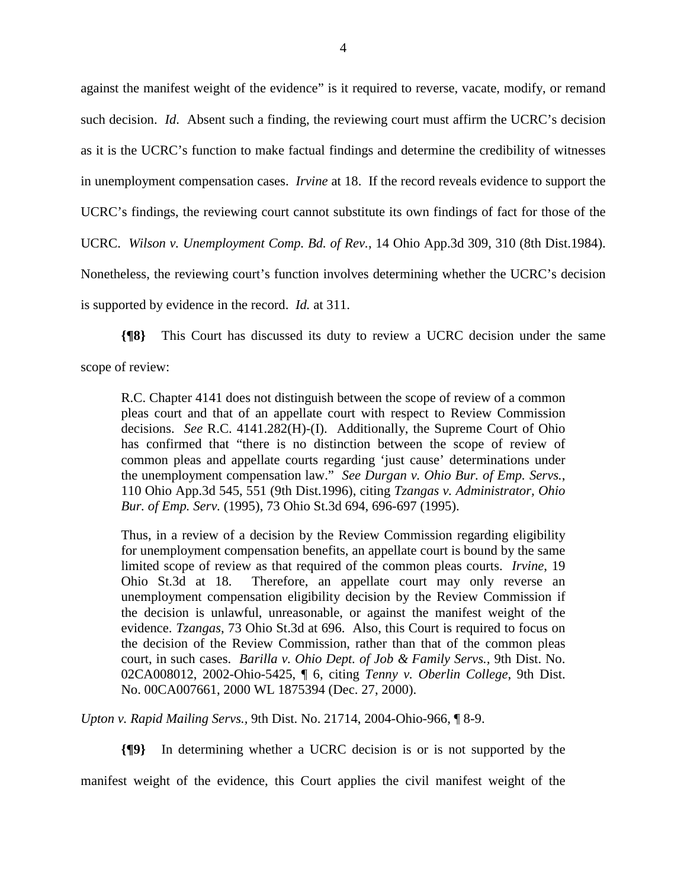against the manifest weight of the evidence" is it required to reverse, vacate, modify, or remand such decision. *Id*. Absent such a finding, the reviewing court must affirm the UCRC's decision as it is the UCRC's function to make factual findings and determine the credibility of witnesses in unemployment compensation cases. *Irvine* at 18. If the record reveals evidence to support the UCRC's findings, the reviewing court cannot substitute its own findings of fact for those of the UCRC. *Wilson v. Unemployment Comp. Bd. of Rev.*, 14 Ohio App.3d 309, 310 (8th Dist.1984). Nonetheless, the reviewing court's function involves determining whether the UCRC's decision is supported by evidence in the record. *Id.* at 311.

**{¶8}** This Court has discussed its duty to review a UCRC decision under the same scope of review:

R.C. Chapter 4141 does not distinguish between the scope of review of a common pleas court and that of an appellate court with respect to Review Commission decisions. *See* R.C. 4141.282(H)-(I). Additionally, the Supreme Court of Ohio has confirmed that "there is no distinction between the scope of review of common pleas and appellate courts regarding 'just cause' determinations under the unemployment compensation law." *See Durgan v. Ohio Bur. of Emp. Servs.*, 110 Ohio App.3d 545, 551 (9th Dist.1996), citing *Tzangas v. Administrator, Ohio Bur. of Emp. Serv.* (1995), 73 Ohio St.3d 694, 696-697 (1995).

Thus, in a review of a decision by the Review Commission regarding eligibility for unemployment compensation benefits, an appellate court is bound by the same limited scope of review as that required of the common pleas courts. *Irvine*, 19 Ohio St.3d at 18. Therefore, an appellate court may only reverse an unemployment compensation eligibility decision by the Review Commission if the decision is unlawful, unreasonable, or against the manifest weight of the evidence. *Tzangas*, 73 Ohio St.3d at 696. Also, this Court is required to focus on the decision of the Review Commission, rather than that of the common pleas court, in such cases. *Barilla v. Ohio Dept. of Job & Family Servs.,* 9th Dist. No. 02CA008012, 2002-Ohio-5425, ¶ 6, citing *Tenny v. Oberlin College*, 9th Dist. No. 00CA007661, 2000 WL 1875394 (Dec. 27, 2000).

*Upton v. Rapid Mailing Servs.,* 9th Dist. No. 21714, 2004-Ohio-966, ¶ 8-9.

**{¶9}** In determining whether a UCRC decision is or is not supported by the

manifest weight of the evidence, this Court applies the civil manifest weight of the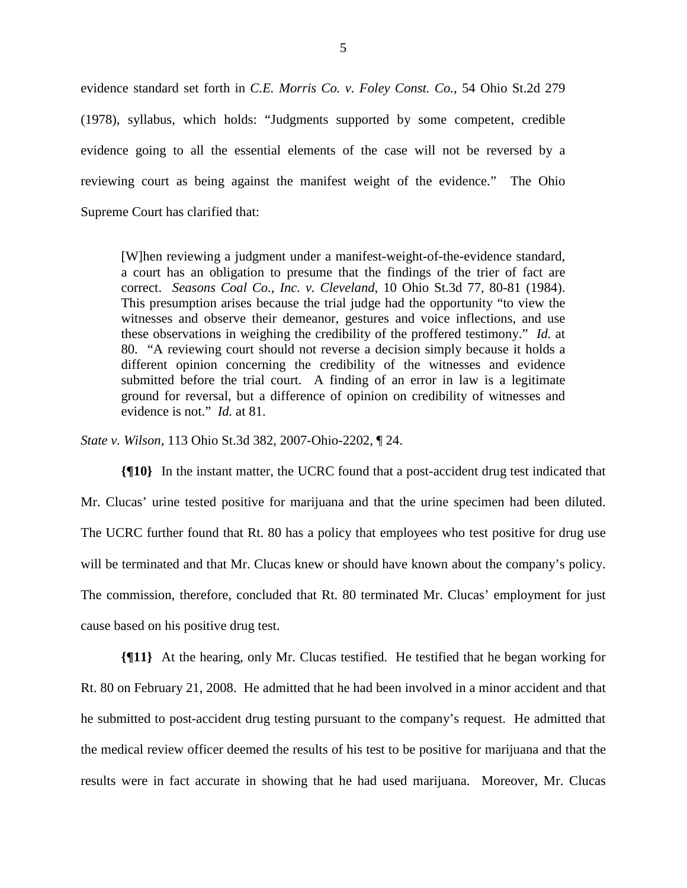evidence standard set forth in *C.E. Morris Co. v. Foley Const. Co.*, 54 Ohio St.2d 279 (1978), syllabus, which holds: "Judgments supported by some competent, credible evidence going to all the essential elements of the case will not be reversed by a reviewing court as being against the manifest weight of the evidence." The Ohio Supreme Court has clarified that:

[W]hen reviewing a judgment under a manifest-weight-of-the-evidence standard, a court has an obligation to presume that the findings of the trier of fact are correct. *Seasons Coal Co., Inc. v. Cleveland*, 10 Ohio St.3d 77, 80-81 (1984). This presumption arises because the trial judge had the opportunity "to view the witnesses and observe their demeanor, gestures and voice inflections, and use these observations in weighing the credibility of the proffered testimony." *Id.* at 80. "A reviewing court should not reverse a decision simply because it holds a different opinion concerning the credibility of the witnesses and evidence submitted before the trial court. A finding of an error in law is a legitimate ground for reversal, but a difference of opinion on credibility of witnesses and evidence is not." *Id.* at 81.

*State v. Wilson*, 113 Ohio St.3d 382, 2007-Ohio-2202, ¶ 24.

**{¶10}** In the instant matter, the UCRC found that a post-accident drug test indicated that Mr. Clucas' urine tested positive for marijuana and that the urine specimen had been diluted. The UCRC further found that Rt. 80 has a policy that employees who test positive for drug use will be terminated and that Mr. Clucas knew or should have known about the company's policy. The commission, therefore, concluded that Rt. 80 terminated Mr. Clucas' employment for just cause based on his positive drug test.

**{¶11}** At the hearing, only Mr. Clucas testified. He testified that he began working for Rt. 80 on February 21, 2008. He admitted that he had been involved in a minor accident and that he submitted to post-accident drug testing pursuant to the company's request. He admitted that the medical review officer deemed the results of his test to be positive for marijuana and that the results were in fact accurate in showing that he had used marijuana. Moreover, Mr. Clucas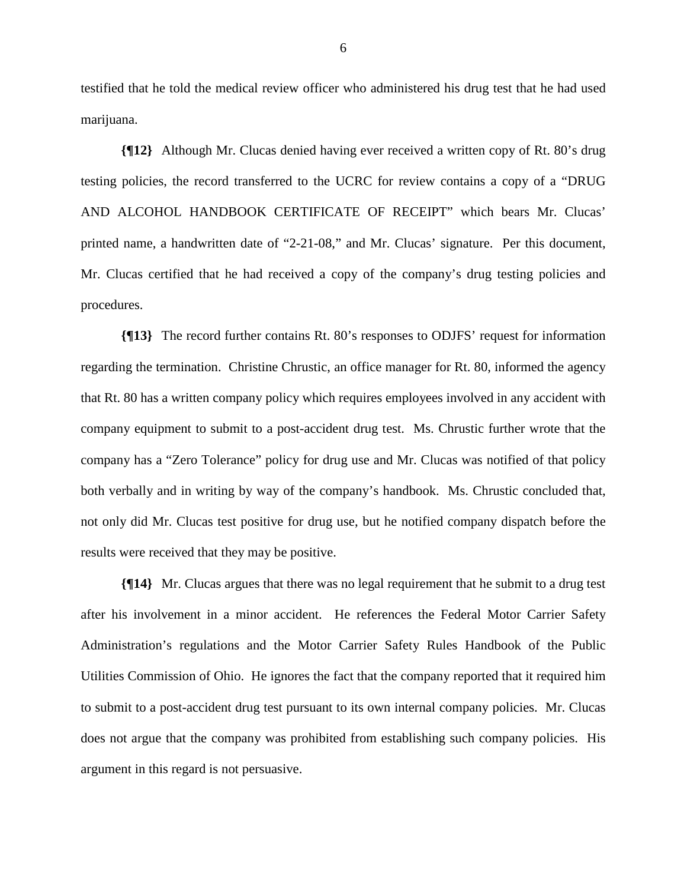testified that he told the medical review officer who administered his drug test that he had used marijuana.

**{¶12}** Although Mr. Clucas denied having ever received a written copy of Rt. 80's drug testing policies, the record transferred to the UCRC for review contains a copy of a "DRUG AND ALCOHOL HANDBOOK CERTIFICATE OF RECEIPT" which bears Mr. Clucas' printed name, a handwritten date of "2-21-08," and Mr. Clucas' signature. Per this document, Mr. Clucas certified that he had received a copy of the company's drug testing policies and procedures.

**{¶13}** The record further contains Rt. 80's responses to ODJFS' request for information regarding the termination. Christine Chrustic, an office manager for Rt. 80, informed the agency that Rt. 80 has a written company policy which requires employees involved in any accident with company equipment to submit to a post-accident drug test. Ms. Chrustic further wrote that the company has a "Zero Tolerance" policy for drug use and Mr. Clucas was notified of that policy both verbally and in writing by way of the company's handbook. Ms. Chrustic concluded that, not only did Mr. Clucas test positive for drug use, but he notified company dispatch before the results were received that they may be positive.

**{¶14}** Mr. Clucas argues that there was no legal requirement that he submit to a drug test after his involvement in a minor accident. He references the Federal Motor Carrier Safety Administration's regulations and the Motor Carrier Safety Rules Handbook of the Public Utilities Commission of Ohio. He ignores the fact that the company reported that it required him to submit to a post-accident drug test pursuant to its own internal company policies. Mr. Clucas does not argue that the company was prohibited from establishing such company policies. His argument in this regard is not persuasive.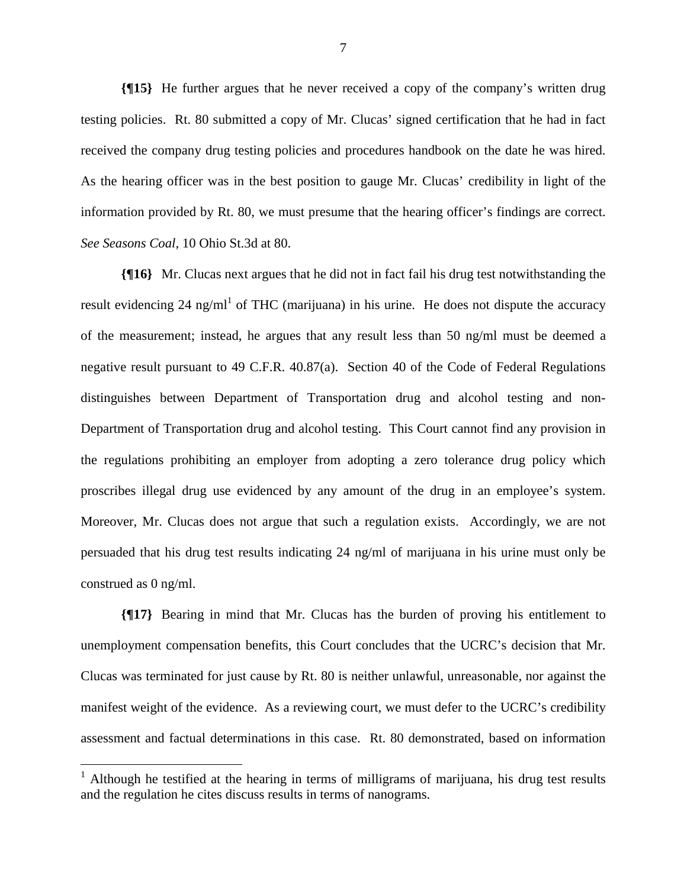**{¶15}** He further argues that he never received a copy of the company's written drug testing policies. Rt. 80 submitted a copy of Mr. Clucas' signed certification that he had in fact received the company drug testing policies and procedures handbook on the date he was hired. As the hearing officer was in the best position to gauge Mr. Clucas' credibility in light of the information provided by Rt. 80, we must presume that the hearing officer's findings are correct. *See Seasons Coal*, 10 Ohio St.3d at 80.

**{¶16}** Mr. Clucas next argues that he did not in fact fail his drug test notwithstanding the result evidencing 24 ng/ml<sup>1</sup> of THC (marijuana) in his urine. He does not dispute the accuracy of the measurement; instead, he argues that any result less than 50 ng/ml must be deemed a negative result pursuant to 49 C.F.R. 40.87(a). Section 40 of the Code of Federal Regulations distinguishes between Department of Transportation drug and alcohol testing and non-Department of Transportation drug and alcohol testing. This Court cannot find any provision in the regulations prohibiting an employer from adopting a zero tolerance drug policy which proscribes illegal drug use evidenced by any amount of the drug in an employee's system. Moreover, Mr. Clucas does not argue that such a regulation exists. Accordingly, we are not persuaded that his drug test results indicating 24 ng/ml of marijuana in his urine must only be construed as 0 ng/ml.

**{¶17}** Bearing in mind that Mr. Clucas has the burden of proving his entitlement to unemployment compensation benefits, this Court concludes that the UCRC's decision that Mr. Clucas was terminated for just cause by Rt. 80 is neither unlawful, unreasonable, nor against the manifest weight of the evidence. As a reviewing court, we must defer to the UCRC's credibility assessment and factual determinations in this case. Rt. 80 demonstrated, based on information

 $\overline{a}$ 

<sup>&</sup>lt;sup>1</sup> Although he testified at the hearing in terms of milligrams of marijuana, his drug test results and the regulation he cites discuss results in terms of nanograms.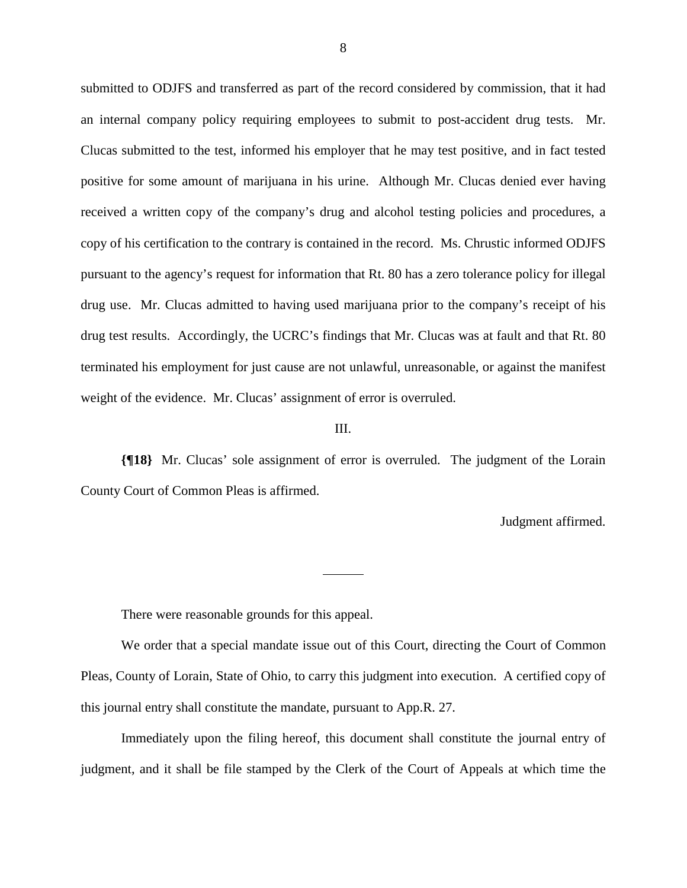submitted to ODJFS and transferred as part of the record considered by commission, that it had an internal company policy requiring employees to submit to post-accident drug tests. Mr. Clucas submitted to the test, informed his employer that he may test positive, and in fact tested positive for some amount of marijuana in his urine. Although Mr. Clucas denied ever having received a written copy of the company's drug and alcohol testing policies and procedures, a copy of his certification to the contrary is contained in the record. Ms. Chrustic informed ODJFS pursuant to the agency's request for information that Rt. 80 has a zero tolerance policy for illegal drug use. Mr. Clucas admitted to having used marijuana prior to the company's receipt of his drug test results. Accordingly, the UCRC's findings that Mr. Clucas was at fault and that Rt. 80 terminated his employment for just cause are not unlawful, unreasonable, or against the manifest weight of the evidence. Mr. Clucas' assignment of error is overruled.

### III.

**{¶18}** Mr. Clucas' sole assignment of error is overruled. The judgment of the Lorain County Court of Common Pleas is affirmed.

Judgment affirmed.

There were reasonable grounds for this appeal.

 We order that a special mandate issue out of this Court, directing the Court of Common Pleas, County of Lorain, State of Ohio, to carry this judgment into execution. A certified copy of this journal entry shall constitute the mandate, pursuant to App.R. 27.

 Immediately upon the filing hereof, this document shall constitute the journal entry of judgment, and it shall be file stamped by the Clerk of the Court of Appeals at which time the